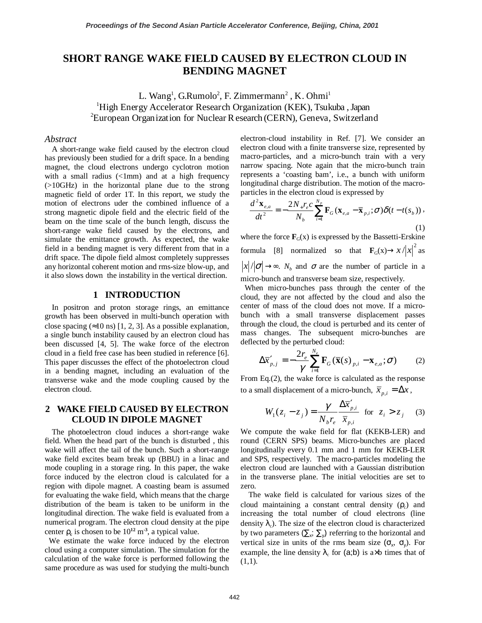# **SHORT RANGE WAKE FIELD CAUSED BY ELECTRON CLOUD IN BENDING MAGNET**

L. Wang<sup>1</sup>, G.Rumolo<sup>2</sup>, F. Zimmermann<sup>2</sup>, K. Ohmi<sup>1</sup> <sup>1</sup>High Energy Accelerator Research Organization (KEK), Tsukuba, Japan  ${}^{2}$ European Organization for Nuclear R esearch (CERN), Geneva, Switzerland

#### *Abstract*

A short-range wake field caused by the electron cloud has previously been studied for a drift space. In a bending magnet, the cloud electrons undergo cyclotron motion with a small radius  $\left(\frac{1}{m}\right)$  and at a high frequency (>10GHz) in the horizontal plane due to the strong magnetic field of order 1T. In this report, we study the motion of electrons uder the combined influence of a strong magnetic dipole field and the electric field of the beam on the time scale of the bunch length, discuss the short-range wake field caused by the electrons, and simulate the emittance growth. As expected, the wake field in a bending magnet is very different from that in a drift space. The dipole field almost completely suppresses any horizontal coherent motion and rms-size blow-up, and it also slows down the instability in the vertical direction.

#### **1 INTRODUCTION**

In positron and proton storage rings, an emittance growth has been observed in multi-bunch operation with close spacing  $(\approx 10 \text{ ns})$  [1, 2, 3]. As a possible explanation, a single bunch instability caused by an electron cloud has been discussed [4, 5]. The wake force of the electron cloud in a field free case has been studied in reference [6]. This paper discusses the effect of the photoelectron cloud in a bending magnet, including an evaluation of the transverse wake and the mode coupling caused by the electron cloud.

### **2 WAKE FIELD CAUSED BY ELECTRON CLOUD IN DIPOLE MAGNET**

The photoelectron cloud induces a short-range wake field. When the head part of the bunch is disturbed , this wake will affect the tail of the bunch. Such a short-range wake field excites beam break up (BBU) in a linac and mode coupling in a storage ring. In this paper, the wake force induced by the electron cloud is calculated for a region with dipole magnet. A coasting beam is assumed for evaluating the wake field, which means that the charge distribution of the beam is taken to be uniform in the longitudinal direction. The wake field is evaluated from a numerical program. The electron cloud density at the pipe center  $\rho_c$  is chosen to be  $10^{12}$  m<sup>-3</sup>, a typical value.

 We estimate the wake force induced by the electron cloud using a computer simulation. The simulation for the calculation of the wake force is performed following the same procedure as was used for studying the multi-bunch electron-cloud instability in Ref. [7]. We consider an electron cloud with a finite transverse size, represented by macro-particles, and a micro-bunch train with a very narrow spacing. Note again that the micro-bunch train represents a 'coasting bam', i.e., a bunch with uniform longitudinal charge distribution. The motion of the macroparticles in the electron cloud is expressed by

$$
\frac{d^2 \mathbf{x}_{e,a}}{dt^2} = -\frac{2N_+ r_e c}{N_b} \sum_{i=1}^{N_p} \mathbf{F}_G(\mathbf{x}_{e,a} - \overline{\mathbf{x}}_{p,i}; \sigma) \delta(t - t(s_b)),
$$
\n(1)

where the force  $\mathbf{F}_G(x)$  is expressed by the Bassetti-Erskine formula [8] normalized so that  $\mathbf{F}_G(x) \to x / |x|^2$  as  $|x|/|\sigma| \rightarrow \infty$ . *N<sub>b</sub>* and  $\sigma$  are the number of particle in a micro-bunch and transverse beam size, respectively.

 When micro-bunches pass through the center of the cloud, they are not affected by the cloud and also the center of mass of the cloud does not move. If a microbunch with a small transverse displacement passes through the cloud, the cloud is perturbed and its center of mass changes. The subsequent micro-bunches are deflected by the perturbed cloud:

$$
\Delta \overline{x}'_{p,j} = -\frac{2r_e}{\gamma} \sum_{i=1}^{N_e} \mathbf{F}_G(\overline{\mathbf{x}}(s)_{p,i} - \mathbf{x}_{e,a}; \sigma)
$$
 (2)

From Eq.(2), the wake force is calculated as the response to a small displacement of a micro-bunch,  $\bar{x}_{p,i} = \Delta x$ ,

$$
W_1(z_i - z_j) = \frac{\gamma}{N_b r_e} \frac{\Delta \overline{x}_{p,i}'}{\overline{x}_{p,i}} \text{ for } z_i > z_j \quad (3)
$$

We compute the wake field for flat (KEKB-LER) and round (CERN SPS) beams. Micro-bunches are placed longitudinally every 0.1 mm and 1 mm for KEKB-LER and SPS, respectively. The macro-particles modeling the electron cloud are launched with a Gaussian distribution in the transverse plane. The initial velocities are set to zero.

The wake field is calculated for various sizes of the cloud maintaining a constant central density  $(\rho_c)$  and increasing the total number of cloud electrons (line density  $\lambda_c$ ). The size of the electron cloud is characterized by two parameters  $(\sum_{x} \sum_{y})$  referring to the horizontal and vertical size in units of the rms beam size  $(\sigma_x, \sigma_y)$ . For example, the line density  $\lambda_c$  for (a;b) is a×b times that of  $(1,1)$ .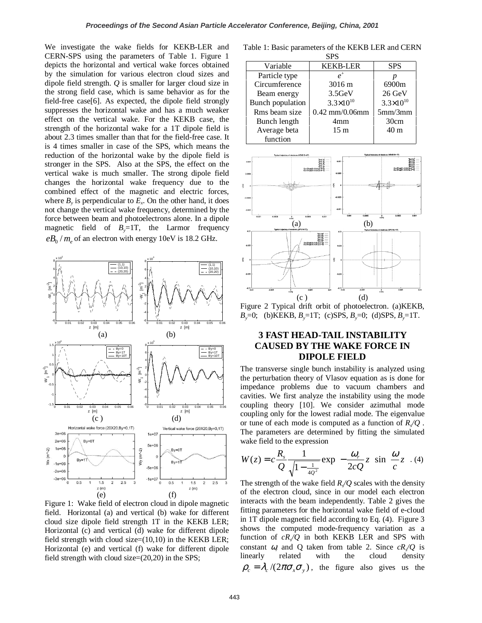We investigate the wake fields for KEKB-LER and CERN-SPS using the parameters of Table 1. Figure 1 depicts the horizontal and vertical wake forces obtained by the simulation for various electron cloud sizes and dipole field strength. *Q* is smaller for larger cloud size in the strong field case, which is same behavior as for the field-free case[6]. As expected, the dipole field strongly suppresses the horizontal wake and has a much weaker effect on the vertical wake. For the KEKB case, the strength of the horizontal wake for a 1T dipole field is about 2.3 times smaller than that for the field-free case. It is 4 times smaller in case of the SPS, which means the reduction of the horizontal wake by the dipole field is stronger in the SPS. Also at the SPS, the effect on the vertical wake is much smaller. The strong dipole field changes the horizontal wake frequency due to the combined effect of the magnetic and electric forces, where  $B<sub>v</sub>$  is perpendicular to  $E<sub>v</sub>$ . On the other hand, it does not change the vertical wake frequency, determined by the force between beam and photoelectrons alone. In a dipole magnetic field of  $B_y=1T$ , the Larmor frequency  $eB_0/m$  of an electron with energy 10eV is 18.2 GHz.



Figure 1: Wake field of electron cloud in dipole magnetic field. Horizontal (a) and vertical (b) wake for different cloud size dipole field strength 1T in the KEKB LER; Horizontal (c) and vertical (d) wake for different dipole field strength with cloud size= $(10,10)$  in the KEKB LER; Horizontal (e) and vertical (f) wake for different dipole field strength with cloud size=(20,20) in the SPS;

Table 1: Basic parameters of the KEKB LER and CERN SPS

| or o             |                      |                      |
|------------------|----------------------|----------------------|
| Variable         | <b>KEKB-LER</b>      | <b>SPS</b>           |
| Particle type    | $\rho^+$             |                      |
| Circumference    | 3016 m               | 6900m                |
| Beam energy      | 3.5GeV               | 26 GeV               |
| Bunch population | $3.3 \times 10^{10}$ | $3.3 \times 10^{10}$ |
| Rms beam size    | $0.42$ mm/0.06mm     | 5mm/3mm              |
| Bunch length     | 4 <sub>mm</sub>      | 30cm                 |
| Average beta     | 15 <sub>m</sub>      | 40 <sub>m</sub>      |
| function         |                      |                      |



Figure 2 Typical drift orbit of photoelectron. (a)KEKB, *B<sub>y</sub>*=0; (b) **KEKB**,  $B_y$ =1T; (c) **SPS**,  $B_y$ =0; (d) **SPS**,  $B_y$ =1T.

## **3 FAST HEAD-TAIL INSTABILITY CAUSED BY THE WAKE FORCE IN DIPOLE FIELD**

The transverse single bunch instability is analyzed using the perturbation theory of Vlasov equation as is done for impedance problems due to vacuum chambers and cavities. We first analyze the instability using the mode coupling theory [10]. We consider azimuthal mode coupling only for the lowest radial mode. The eigenvalue or tune of each mode is computed as a function of  $R/Q$ . The parameters are determined by fitting the simulated wake field to the expression

$$
W(z) = c \frac{R_s}{Q} \frac{1}{\sqrt{1 - \frac{1}{4Q^2}}} \exp\left(-\frac{\omega_r}{2cQ} z\right) \sin\left(\frac{\omega}{c} z\right). (4)
$$

The strength of the wake field  $R/Q$  scales with the density of the electron cloud, since in our model each electron interacts with the beam independently. Table 2 gives the fitting parameters for the horizontal wake field of e-cloud in 1T dipole magnetic field according to Eq. (4). Figure 3 shows the computed mode-frequency variation as a function of  $cR/O$  in both KEKB LER and SPS with constant  $\omega$ <sub>r</sub> and Q taken from table 2. Since  $cR/Q$  is linearly related with the cloud density  $\rho_c = \lambda_c / (2\pi \sigma_r \sigma_r)$ , the figure also gives us the